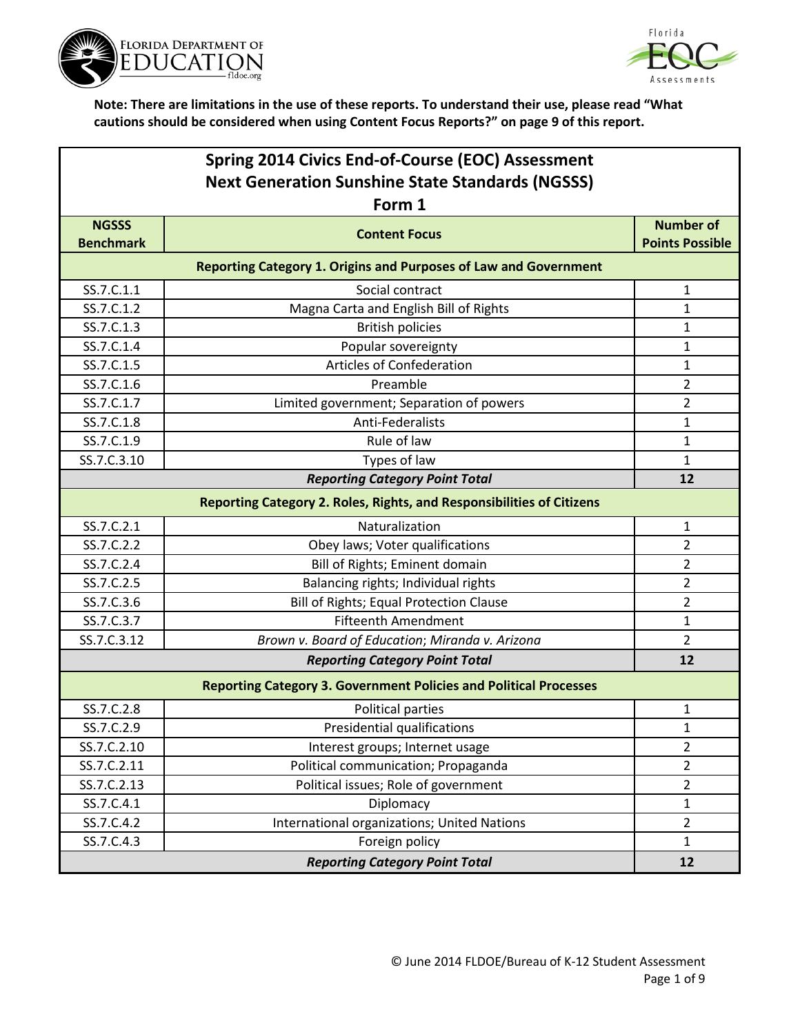



|                                  | Spring 2014 Civics End-of-Course (EOC) Assessment                        |                                            |  |
|----------------------------------|--------------------------------------------------------------------------|--------------------------------------------|--|
|                                  | <b>Next Generation Sunshine State Standards (NGSSS)</b>                  |                                            |  |
|                                  | Form 1                                                                   |                                            |  |
| <b>NGSSS</b><br><b>Benchmark</b> | <b>Content Focus</b>                                                     | <b>Number of</b><br><b>Points Possible</b> |  |
|                                  |                                                                          |                                            |  |
|                                  | <b>Reporting Category 1. Origins and Purposes of Law and Government</b>  |                                            |  |
| SS.7.C.1.1                       | Social contract                                                          | $\mathbf{1}$                               |  |
| SS.7.C.1.2                       | Magna Carta and English Bill of Rights                                   | 1                                          |  |
| SS.7.C.1.3                       | <b>British policies</b>                                                  | 1                                          |  |
| SS.7.C.1.4                       | Popular sovereignty                                                      | $\mathbf{1}$                               |  |
| SS.7.C.1.5                       | <b>Articles of Confederation</b>                                         | $\mathbf{1}$                               |  |
| SS.7.C.1.6                       | Preamble                                                                 | $\overline{2}$                             |  |
| SS.7.C.1.7                       | Limited government; Separation of powers                                 | $\overline{2}$                             |  |
| SS.7.C.1.8                       | Anti-Federalists                                                         | 1                                          |  |
| SS.7.C.1.9                       | Rule of law                                                              | 1                                          |  |
| SS.7.C.3.10                      | Types of law                                                             | $\mathbf{1}$                               |  |
|                                  | <b>Reporting Category Point Total</b>                                    | 12                                         |  |
|                                  | Reporting Category 2. Roles, Rights, and Responsibilities of Citizens    |                                            |  |
| SS.7.C.2.1                       | Naturalization                                                           | $\mathbf{1}$                               |  |
| SS.7.C.2.2                       | Obey laws; Voter qualifications                                          | $\overline{2}$                             |  |
| SS.7.C.2.4                       | Bill of Rights; Eminent domain                                           | $\overline{2}$                             |  |
| SS.7.C.2.5                       | Balancing rights; Individual rights                                      | $\overline{2}$                             |  |
| SS.7.C.3.6                       | Bill of Rights; Equal Protection Clause                                  | $\overline{2}$                             |  |
| SS.7.C.3.7                       | <b>Fifteenth Amendment</b>                                               | $\mathbf 1$                                |  |
| SS.7.C.3.12                      | Brown v. Board of Education; Miranda v. Arizona                          | $\overline{2}$                             |  |
|                                  | <b>Reporting Category Point Total</b>                                    | 12                                         |  |
|                                  | <b>Reporting Category 3. Government Policies and Political Processes</b> |                                            |  |
| SS.7.C.2.8                       | <b>Political parties</b>                                                 | 1                                          |  |
| SS.7.C.2.9                       | Presidential qualifications                                              | $\mathbf{1}$                               |  |
| SS.7.C.2.10                      | Interest groups; Internet usage                                          | $\overline{2}$                             |  |
| SS.7.C.2.11                      | Political communication; Propaganda                                      | $\overline{2}$                             |  |
| SS.7.C.2.13                      | Political issues; Role of government                                     | $\overline{2}$                             |  |
| SS.7.C.4.1                       | Diplomacy                                                                | $\mathbf{1}$                               |  |
| SS.7.C.4.2                       | International organizations; United Nations                              | $\overline{2}$                             |  |
| SS.7.C.4.3                       | Foreign policy                                                           | $\mathbf{1}$                               |  |
|                                  | <b>Reporting Category Point Total</b>                                    | 12                                         |  |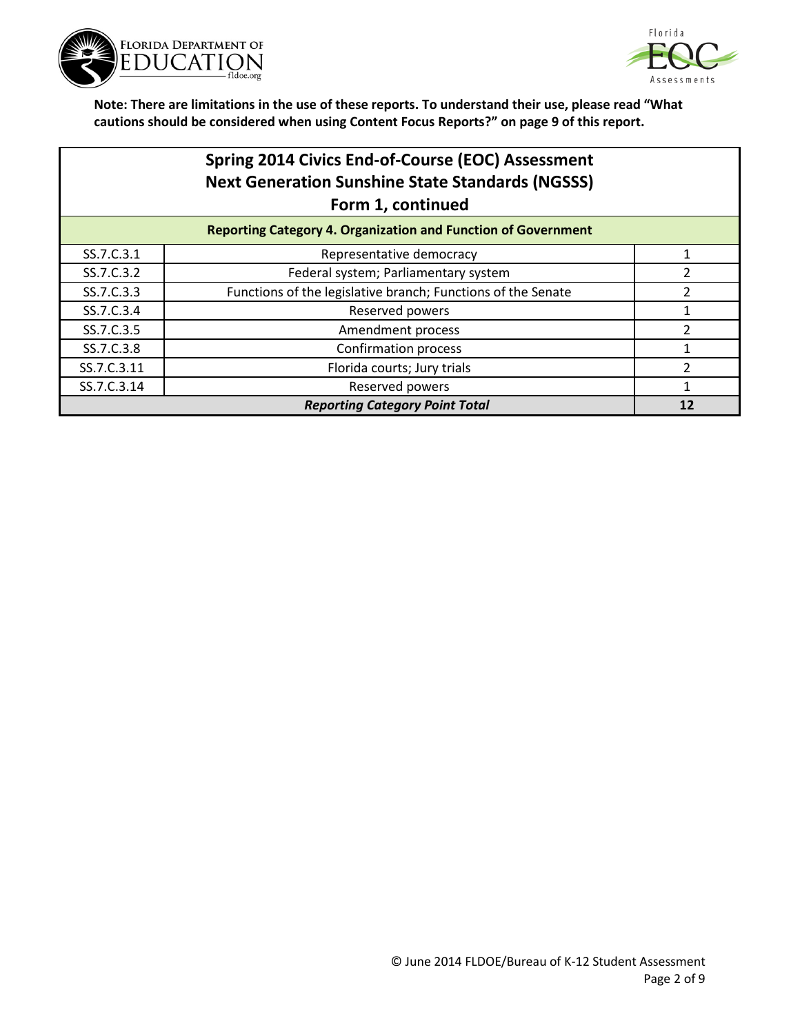



|             | Spring 2014 Civics End-of-Course (EOC) Assessment<br><b>Next Generation Sunshine State Standards (NGSSS)</b><br>Form 1, continued |                |
|-------------|-----------------------------------------------------------------------------------------------------------------------------------|----------------|
|             | <b>Reporting Category 4. Organization and Function of Government</b>                                                              |                |
| SS.7.C.3.1  | Representative democracy                                                                                                          |                |
| SS.7.C.3.2  | Federal system; Parliamentary system                                                                                              | 2              |
| SS.7.C.3.3  | Functions of the legislative branch; Functions of the Senate                                                                      | 2              |
| SS.7.C.3.4  | Reserved powers                                                                                                                   |                |
| SS.7.C.3.5  | Amendment process                                                                                                                 | $\overline{2}$ |
| SS.7.C.3.8  | Confirmation process                                                                                                              |                |
| SS.7.C.3.11 | Florida courts; Jury trials                                                                                                       | 2              |
| SS.7.C.3.14 | Reserved powers                                                                                                                   |                |
|             | <b>Reporting Category Point Total</b>                                                                                             | 12             |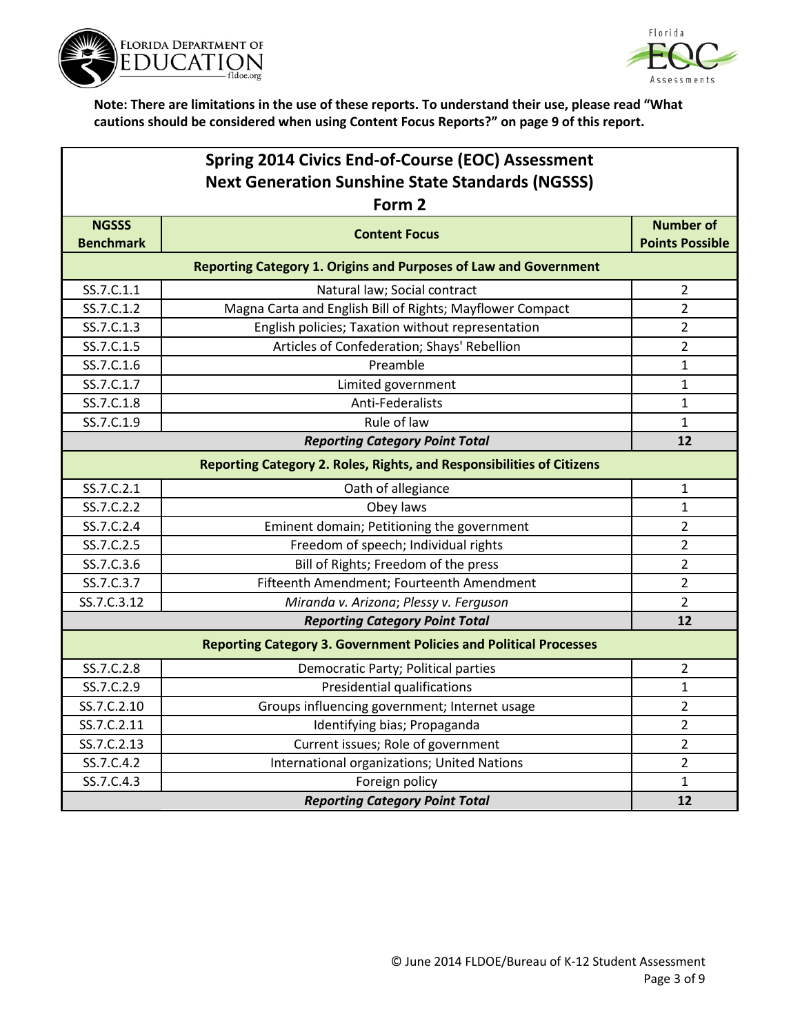



|                                  | Spring 2014 Civics End-of-Course (EOC) Assessment                        |                                            |  |
|----------------------------------|--------------------------------------------------------------------------|--------------------------------------------|--|
|                                  | <b>Next Generation Sunshine State Standards (NGSSS)</b><br>Form 2        |                                            |  |
| <b>NGSSS</b><br><b>Benchmark</b> | <b>Content Focus</b>                                                     | <b>Number of</b><br><b>Points Possible</b> |  |
|                                  | <b>Reporting Category 1. Origins and Purposes of Law and Government</b>  |                                            |  |
| SS.7.C.1.1                       | Natural law; Social contract                                             | $\overline{2}$                             |  |
| SS.7.C.1.2                       | Magna Carta and English Bill of Rights; Mayflower Compact                | $\overline{2}$                             |  |
| SS.7.C.1.3                       | English policies; Taxation without representation                        | $\overline{2}$                             |  |
| SS.7.C.1.5                       | Articles of Confederation; Shays' Rebellion                              | $\overline{2}$                             |  |
| SS.7.C.1.6                       | Preamble                                                                 | 1                                          |  |
| SS.7.C.1.7                       | Limited government                                                       | $\mathbf 1$                                |  |
| SS.7.C.1.8                       | Anti-Federalists                                                         | $\mathbf 1$                                |  |
| SS.7.C.1.9                       | Rule of law                                                              | 1                                          |  |
|                                  | <b>Reporting Category Point Total</b>                                    | 12                                         |  |
|                                  | Reporting Category 2. Roles, Rights, and Responsibilities of Citizens    |                                            |  |
| SS.7.C.2.1                       | Oath of allegiance                                                       | 1                                          |  |
| SS.7.C.2.2                       | Obey laws                                                                | 1                                          |  |
| SS.7.C.2.4                       | Eminent domain; Petitioning the government                               | 2                                          |  |
| SS.7.C.2.5                       | Freedom of speech; Individual rights                                     | $\overline{2}$                             |  |
| SS.7.C.3.6                       | Bill of Rights; Freedom of the press                                     | 2                                          |  |
| SS.7.C.3.7                       | Fifteenth Amendment; Fourteenth Amendment                                | $\overline{2}$                             |  |
| SS.7.C.3.12                      | Miranda v. Arizona; Plessy v. Ferguson                                   | $\overline{2}$                             |  |
|                                  | <b>Reporting Category Point Total</b>                                    | 12                                         |  |
|                                  | <b>Reporting Category 3. Government Policies and Political Processes</b> |                                            |  |
| SS.7.C.2.8                       | Democratic Party; Political parties                                      | $\overline{2}$                             |  |
| SS.7.C.2.9                       | Presidential qualifications                                              | 1                                          |  |
| SS.7.C.2.10                      | Groups influencing government; Internet usage                            | 2                                          |  |
| SS.7.C.2.11                      | Identifying bias; Propaganda                                             | $\overline{2}$                             |  |
| SS.7.C.2.13                      | Current issues; Role of government                                       | $\overline{2}$                             |  |
| SS.7.C.4.2                       | International organizations; United Nations                              | 2                                          |  |
| SS.7.C.4.3                       | Foreign policy                                                           | 1                                          |  |
|                                  | <b>Reporting Category Point Total</b>                                    | 12                                         |  |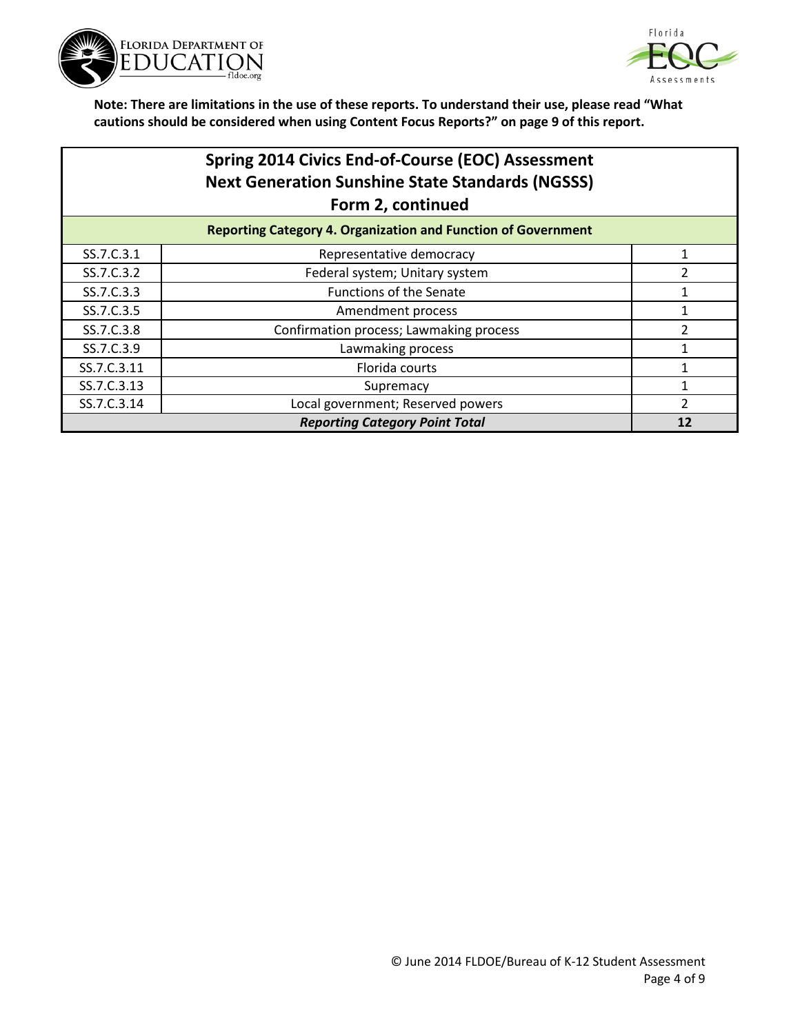



**Note: There are limitations in the use of these reports. To understand their use, please read "What cautions should be considered when using Content Focus Reports?" on page 9 of this report.**

|             | Spring 2014 Civics End-of-Course (EOC) Assessment<br><b>Next Generation Sunshine State Standards (NGSSS)</b><br>Form 2, continued |   |
|-------------|-----------------------------------------------------------------------------------------------------------------------------------|---|
|             | <b>Reporting Category 4. Organization and Function of Government</b>                                                              |   |
| SS.7.C.3.1  | Representative democracy                                                                                                          |   |
| SS.7.C.3.2  | Federal system; Unitary system                                                                                                    |   |
| SS.7.C.3.3  | <b>Functions of the Senate</b>                                                                                                    |   |
| SS.7.C.3.5  | Amendment process                                                                                                                 |   |
| SS.7.C.3.8  | Confirmation process; Lawmaking process                                                                                           | 2 |
| SS.7.C.3.9  | Lawmaking process                                                                                                                 |   |
| SS.7.C.3.11 | Florida courts                                                                                                                    |   |
| SS.7.C.3.13 | Supremacy                                                                                                                         |   |

SS.7.C.3.14 **COLLUTE:** Local government; Reserved powers 2

*Reporting Category Point Total* **<b>12 12**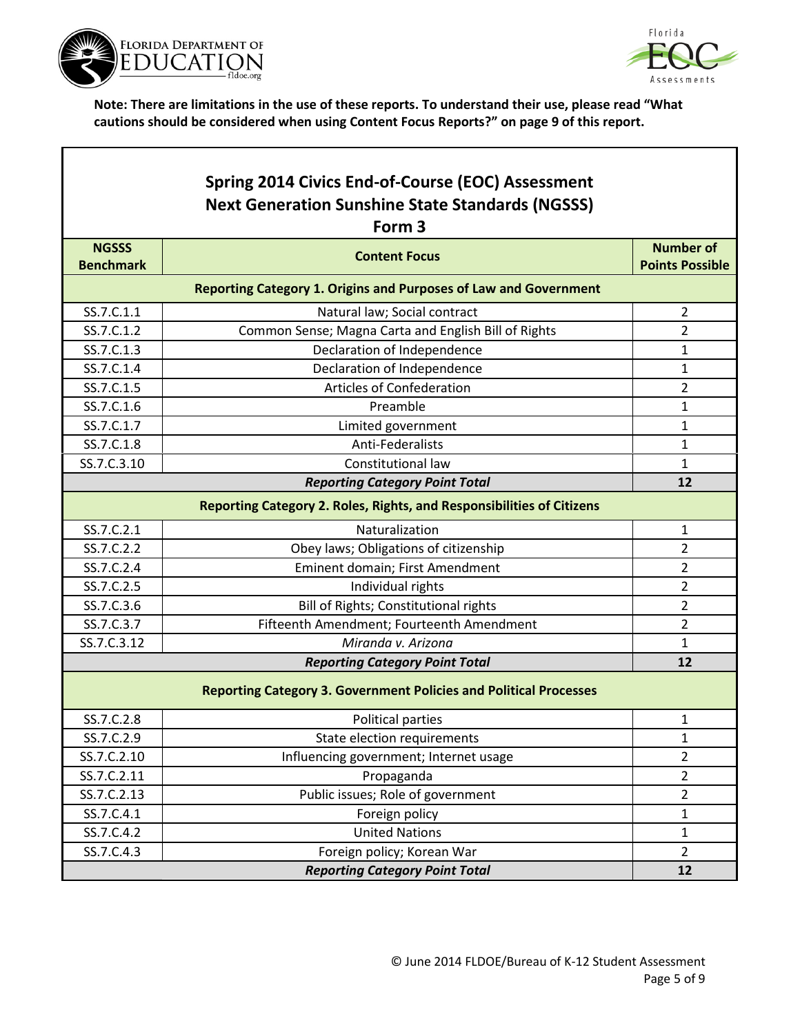

Г



٦

|                                  | Spring 2014 Civics End-of-Course (EOC) Assessment                            |                                            |  |  |
|----------------------------------|------------------------------------------------------------------------------|--------------------------------------------|--|--|
|                                  | <b>Next Generation Sunshine State Standards (NGSSS)</b><br>Form <sub>3</sub> |                                            |  |  |
| <b>NGSSS</b><br><b>Benchmark</b> | <b>Content Focus</b>                                                         | <b>Number of</b><br><b>Points Possible</b> |  |  |
|                                  | <b>Reporting Category 1. Origins and Purposes of Law and Government</b>      |                                            |  |  |
| SS.7.C.1.1                       | Natural law; Social contract                                                 | $\overline{2}$                             |  |  |
| SS.7.C.1.2                       | Common Sense; Magna Carta and English Bill of Rights                         | $\overline{2}$                             |  |  |
| SS.7.C.1.3                       | Declaration of Independence                                                  | 1                                          |  |  |
| SS.7.C.1.4                       | Declaration of Independence                                                  | $\mathbf{1}$                               |  |  |
| SS.7.C.1.5                       | Articles of Confederation                                                    | $\overline{2}$                             |  |  |
| SS.7.C.1.6                       | Preamble                                                                     | 1                                          |  |  |
| SS.7.C.1.7                       | Limited government                                                           | $\mathbf{1}$                               |  |  |
| SS.7.C.1.8                       | Anti-Federalists                                                             | 1                                          |  |  |
| SS.7.C.3.10                      | Constitutional law                                                           | $\mathbf{1}$                               |  |  |
|                                  | <b>Reporting Category Point Total</b>                                        | 12                                         |  |  |
|                                  | <b>Reporting Category 2. Roles, Rights, and Responsibilities of Citizens</b> |                                            |  |  |
| SS.7.C.2.1                       | Naturalization                                                               | 1                                          |  |  |
| SS.7.C.2.2                       | Obey laws; Obligations of citizenship                                        | $\overline{2}$                             |  |  |
| SS.7.C.2.4                       | Eminent domain; First Amendment                                              | $\overline{2}$                             |  |  |
| SS.7.C.2.5                       | Individual rights                                                            | $\overline{2}$                             |  |  |
| SS.7.C.3.6                       | Bill of Rights; Constitutional rights                                        | $\overline{2}$                             |  |  |
| SS.7.C.3.7                       | Fifteenth Amendment; Fourteenth Amendment                                    | $\overline{2}$                             |  |  |
| SS.7.C.3.12                      | Miranda v. Arizona                                                           | 1                                          |  |  |
|                                  | <b>Reporting Category Point Total</b>                                        | 12                                         |  |  |
|                                  | <b>Reporting Category 3. Government Policies and Political Processes</b>     |                                            |  |  |
| SS.7.C.2.8                       | Political parties                                                            | 1                                          |  |  |
| SS.7.C.2.9                       | State election requirements                                                  | 1                                          |  |  |
| SS.7.C.2.10                      | Influencing government; Internet usage                                       | $\overline{2}$                             |  |  |
| SS.7.C.2.11                      | Propaganda                                                                   | $\overline{2}$                             |  |  |
| SS.7.C.2.13                      | Public issues; Role of government                                            | $\overline{2}$                             |  |  |
| SS.7.C.4.1                       | Foreign policy                                                               | $\mathbf{1}$                               |  |  |
| SS.7.C.4.2                       | <b>United Nations</b>                                                        | $\mathbf{1}$                               |  |  |
| SS.7.C.4.3                       | Foreign policy; Korean War                                                   | $\overline{2}$                             |  |  |
|                                  | <b>Reporting Category Point Total</b>                                        | 12                                         |  |  |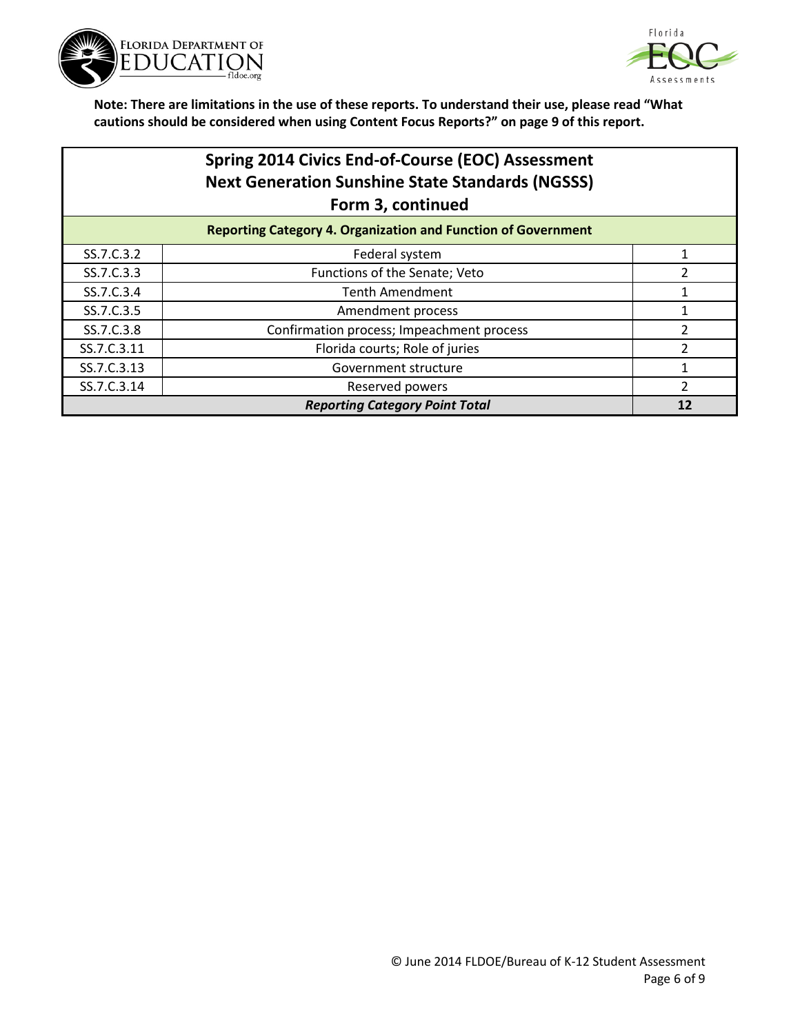



## **Spring 2014 Civics End-of-Course (EOC) Assessment Next Generation Sunshine State Standards (NGSSS) Form 3, continued**

| <b>Reporting Category 4. Organization and Function of Government</b> |                                           |  |
|----------------------------------------------------------------------|-------------------------------------------|--|
| SS.7.C.3.2                                                           | Federal system                            |  |
| SS.7.C.3.3                                                           | Functions of the Senate; Veto             |  |
| SS.7.C.3.4                                                           | <b>Tenth Amendment</b>                    |  |
| SS.7.C.3.5                                                           | Amendment process                         |  |
| SS.7.C.3.8                                                           | Confirmation process; Impeachment process |  |
| SS.7.C.3.11                                                          | Florida courts; Role of juries            |  |
| SS.7.C.3.13                                                          | Government structure                      |  |
| SS.7.C.3.14                                                          | Reserved powers                           |  |
| <b>Reporting Category Point Total</b>                                |                                           |  |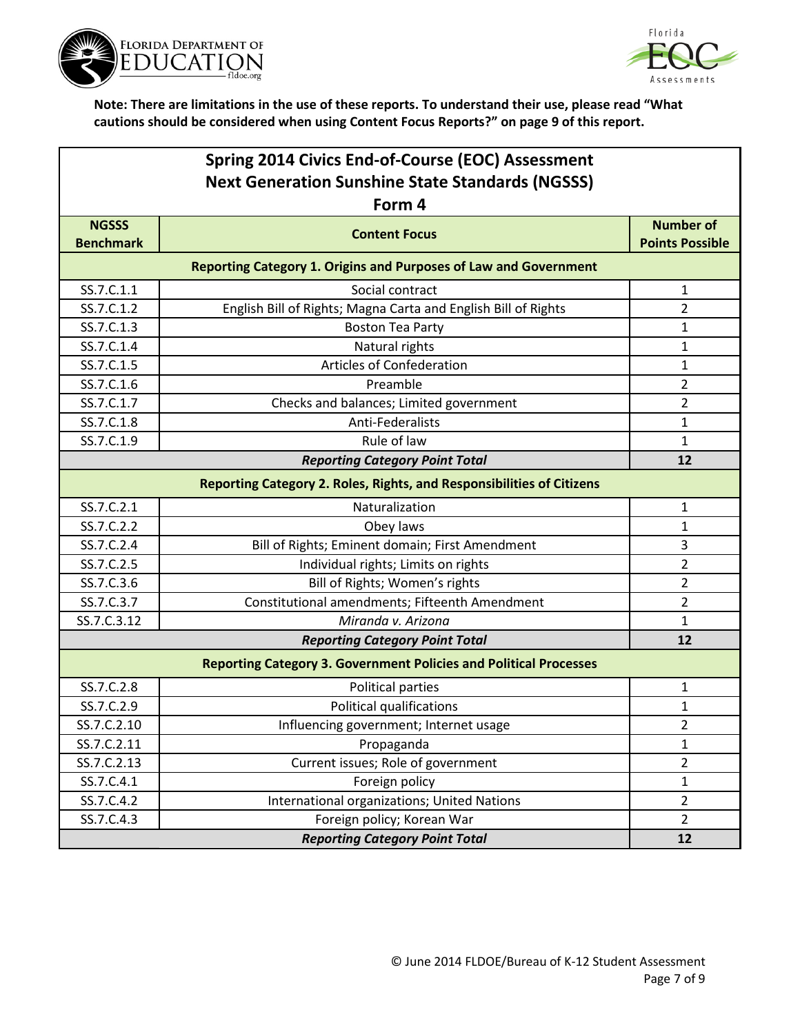



| Spring 2014 Civics End-of-Course (EOC) Assessment       |                                                                          |                        |
|---------------------------------------------------------|--------------------------------------------------------------------------|------------------------|
| <b>Next Generation Sunshine State Standards (NGSSS)</b> |                                                                          |                        |
|                                                         | Form 4                                                                   |                        |
| <b>NGSSS</b>                                            | <b>Content Focus</b>                                                     | <b>Number of</b>       |
| <b>Benchmark</b>                                        |                                                                          | <b>Points Possible</b> |
|                                                         | <b>Reporting Category 1. Origins and Purposes of Law and Government</b>  |                        |
| SS.7.C.1.1                                              | Social contract                                                          | 1                      |
| SS.7.C.1.2                                              | English Bill of Rights; Magna Carta and English Bill of Rights           | $\overline{2}$         |
| SS.7.C.1.3                                              | <b>Boston Tea Party</b>                                                  | 1                      |
| SS.7.C.1.4                                              | Natural rights                                                           | $\mathbf{1}$           |
| SS.7.C.1.5                                              | Articles of Confederation                                                | 1                      |
| SS.7.C.1.6                                              | Preamble                                                                 | $\overline{2}$         |
| SS.7.C.1.7                                              | Checks and balances; Limited government                                  | $\overline{2}$         |
| SS.7.C.1.8                                              | Anti-Federalists                                                         | 1                      |
| SS.7.C.1.9                                              | Rule of law                                                              | $\mathbf{1}$           |
|                                                         | <b>Reporting Category Point Total</b>                                    | 12                     |
|                                                         | Reporting Category 2. Roles, Rights, and Responsibilities of Citizens    |                        |
| SS.7.C.2.1                                              | Naturalization                                                           | $\mathbf{1}$           |
| SS.7.C.2.2                                              | Obey laws                                                                | $\mathbf{1}$           |
| SS.7.C.2.4                                              | Bill of Rights; Eminent domain; First Amendment                          | 3                      |
| SS.7.C.2.5                                              | Individual rights; Limits on rights                                      | $\overline{2}$         |
| SS.7.C.3.6                                              | Bill of Rights; Women's rights                                           | 2                      |
| SS.7.C.3.7                                              | Constitutional amendments; Fifteenth Amendment                           | $\overline{2}$         |
| SS.7.C.3.12                                             | Miranda v. Arizona                                                       | $\mathbf{1}$           |
|                                                         | <b>Reporting Category Point Total</b>                                    | 12                     |
|                                                         | <b>Reporting Category 3. Government Policies and Political Processes</b> |                        |
| SS.7.C.2.8                                              | Political parties                                                        | 1                      |
| SS.7.C.2.9                                              | Political qualifications                                                 | 1                      |
| SS.7.C.2.10                                             | Influencing government; Internet usage                                   | 2                      |
| SS.7.C.2.11                                             | Propaganda                                                               | $\mathbf{1}$           |
| SS.7.C.2.13                                             | Current issues; Role of government                                       | $\overline{2}$         |
| SS.7.C.4.1                                              | Foreign policy                                                           | $\mathbf{1}$           |
| SS.7.C.4.2                                              | International organizations; United Nations                              | $\overline{2}$         |
| SS.7.C.4.3                                              | Foreign policy; Korean War                                               | $\overline{2}$         |
|                                                         | <b>Reporting Category Point Total</b>                                    | 12                     |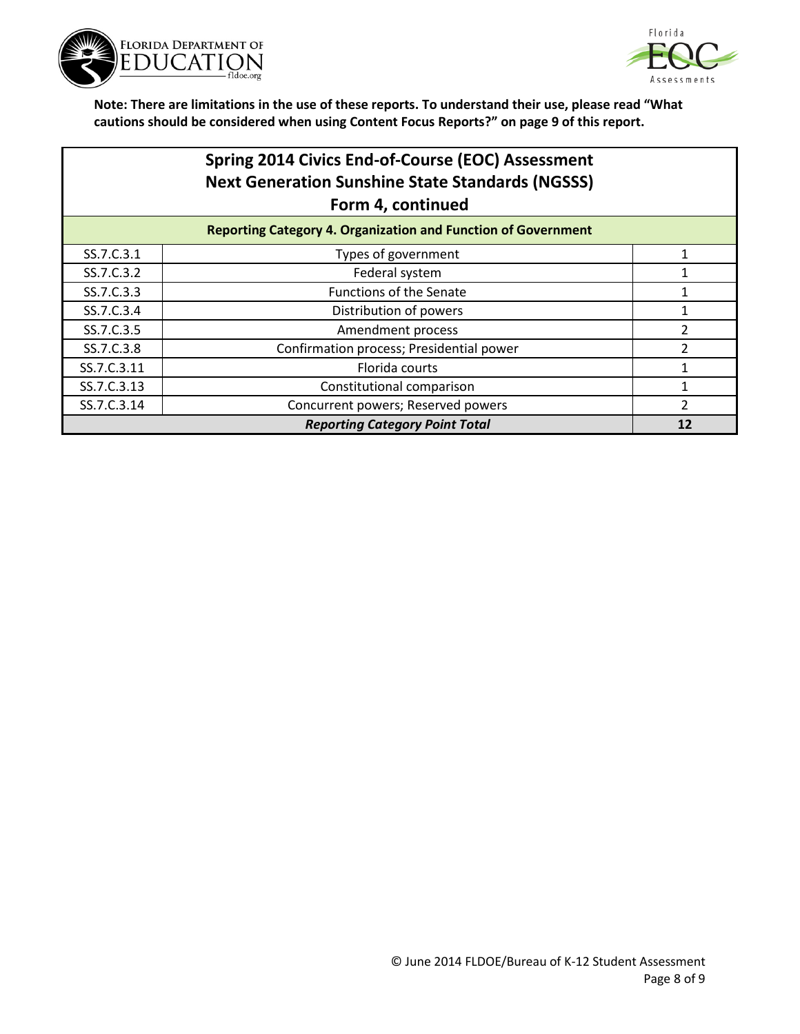



| Spring 2014 Civics End-of-Course (EOC) Assessment              |
|----------------------------------------------------------------|
| <b>Next Generation Sunshine State Standards (NGSSS)</b>        |
| Form 4, continued                                              |
| Beneather Ceterson: A. Queentesting and Function of Concumnant |

| <b>Reporting Category 4. Organization and Function of Government</b> |                                          |  |
|----------------------------------------------------------------------|------------------------------------------|--|
| SS.7.C.3.1                                                           | Types of government                      |  |
| SS.7.C.3.2                                                           | Federal system                           |  |
| SS.7.C.3.3                                                           | <b>Functions of the Senate</b>           |  |
| SS.7.C.3.4                                                           | Distribution of powers                   |  |
| SS.7.C.3.5                                                           | Amendment process                        |  |
| SS.7.C.3.8                                                           | Confirmation process; Presidential power |  |
| SS.7.C.3.11                                                          | Florida courts                           |  |
| SS.7.C.3.13                                                          | Constitutional comparison                |  |
| SS.7.C.3.14                                                          | Concurrent powers; Reserved powers       |  |
| <b>Reporting Category Point Total</b>                                |                                          |  |